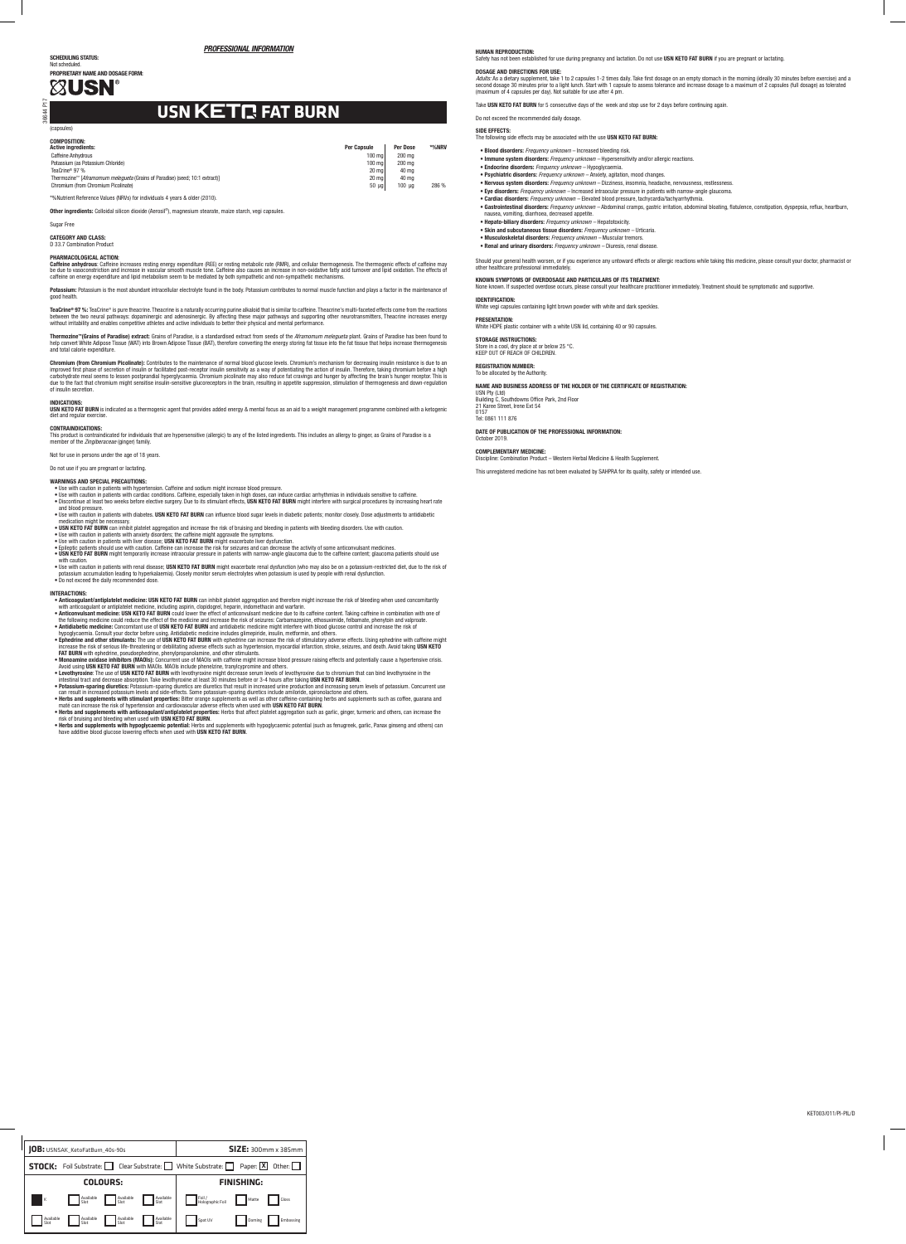| KET003/011/PI-PIL/D |  |
|---------------------|--|
|---------------------|--|

# 36644 P17 (capsules)

| <b>COMPOSITION:</b><br><b>Active ingredients:</b>                           | <b>Per Capsule</b> | <b>Per Dose</b>  | *%NRV |
|-----------------------------------------------------------------------------|--------------------|------------------|-------|
| Caffeine Anhydrous                                                          | 100 mg             | 200 ma           |       |
| Potassium (as Potassium Chloride)                                           | 100 mg             | 200 ma           |       |
| TeaCrine <sup>®</sup> 97 %                                                  | 20 <sub>ma</sub>   | 40 mg            |       |
| Thermozine™ [Aframomum melequeta (Grains of Paradise) (seed: 10:1 extract)] | 20 <sub>ma</sub>   | 40 mg            |       |
| Chromium (from Chromium Picolinate)                                         | $50 \mu g$         | 100 <sub>u</sub> | 286 % |

## \*%Nutrient Reference Values (NRVs) for individuals 4 years & older (2010).

Other ingredients: Colloidal silicon dioxide (Aerosil®), magnesium stearate, maize starch, vegi capsules.

### Sugar Free

CATEGORY AND CLASS:

D 33.7 Combination Product

## PHARMACOLOGICAL ACTION:

**Caffeine anhydrous**: Caffeine increases resting energy expenditure (REE) or resting metabolic rate (RMR), and cellular thermogenesis. The thermogenic effects of caffeine may<br>be due to vasoconstriction and increase in vasc

Potassium: Potassium is the most abundant intracellular electrolyte found in the body. Potassium contributes to normal muscle function and plays a factor in the maintenance of good health.

**TeaCrine® 97 %:** TeaCrine® is pure theacrine. Theacrine is a naturally occurring purine alkaloid that is similar to caffeine. Theacrine's multi-faceted effects come from the reactions<br>between the two neural pathways: dopa

USN KETO FAT BURN is indicated as a thermogenic agent that provides added energy & mental focus as an aid to a weight management programme combined with a ketogenic diet and regular exerci

**CONTRAINDICATIONS:**<br>This product is contraindicated for individuals that are hypersensitive (allergic) to any of the listed ingredients. This includes an allergy to ginger, as Grains of Paradise is a member of the *Zingiberaceae* (ginger) family.

Thermozine™(Grains of Paradise) extract: Grains of Paradise, is a standardised extract from seeds of the *Aframomum melegueta* plant. Grains of Paradise has been found to help convert White Adipose Tissue (WAT) into Brown Adipose Tissue (BAT), therefore converting the energy storing fat tissue into the fat tissue that helps increase thermogenesis and total calorie expenditure.

Chromium (from Chromium Picolinate): Contributes to the maintenance of normal blood glucose levels. Chromium's mechanism for decreasing insulin resistance is due to an improved first phase of secretion of insulin or facilitated post-receptor insulin sensitivity as a way of potentiating the action of insulin. Therefore, taking chromium before a high<br>carbohydrate meal seems to lessen postp

- Use with caution in patients with hypertension. Caffeine and sodium might increase blood pressure.<br>● Use with caution in patients with cardiac conditions. Caffeine, especially taken in high doses, can individuals simila and blood pressure.<br>● Use with caution in patients with diabetes. **USN KETO FAT BURN** can influence blood sugar levels in diabetic patients; monitor closely. Dose adjustments to antidiabetic
- medication might be necessary.
- 
- 

- USN KETO FAT BURN can inhibit platelet aggregation and increase the risk of bruising and bleeding in patients with bleeding disorders. Use with caution.<br>• Use with caution in patients with anxiety disorders; the caffeine with caution.
- Use with caution in patients with renal disease; **USN KETO FAT BURN** might exacerbate renal dysfunction (who may also be on a potassium-restricted diet, due to the risk of<br>potassium accumulation leading to hyperkalaemia • Do not exceed the daily recommended dose.

### INDICATIONS:

Not for use in persons under the age of 18 years.

Do not use if you are pregnant or lactating.

## WARNINGS AND SPECIAL PRECAUTIONS:

- SIDE EFFECTS:<br>The following side effects may be associated with the use USN KETO FAT BURN:
- Blood disorders: *Frequency unknown –* Increased bleeding risk.
- Immune system disorders: *Frequency unknown* Hypersensitivity and/or allergic reactions.
- Endocrine disorders: *Frequency unknown* Hypoglycaemia.
- Psychiatric disorders: *Frequency unknown* Anxiety, agitation, mood changes.
- Nervous system disorders: *Frequency unknown* Dizziness, insomnia, headache, nervousness, restlessness.
- Eye disorders: *Frequency unknown* Increased intraocular pressure in patients with narrow-angle glaucoma.

### INTERACTIONS:

- Anticoagulant/antiplatelet medicine: USN KETO FAT BURN can inhibit platelet aggregation and therefore might increase the risk of bleeding when used concomitantly with anticoagulant or antiplatelet medicine, including aspirin, clopidogrel, heparin, indomethacin and warfarin.<br>• Anticonvulsant medicine: USN KETO FAT BURN could lower the effect of anticonvulsant medicine due to its caf
- 
- the following medicine could reduce the effect of the medicine and increase the risk of seizures: Carbamazepine, ethosuximide, felbamate, phenytoin and valproate.<br>• Antidiabetic medicine: Concomitant use of USN KETO FAT BU
- increase the risk of serious life-threatening or debilitating adverse effects such as hypertension, myocardial infarction, stroke, seizures, and death. Avoid taking **USN KETO**<br>**FAT BURN** with ephedrine, pseudoephedrine, ph
- Monoamine oxidase inhibitors (MAOIs): Concurrent use of MAOIs with caffeine might increase blood pressure raising effects and potentially cause a hypertensive crisis.<br>• Avoid using USN KETO FAT BURN with MAOIs. MAOIs inc
- 
- Potassium-sparing diuretics: Potassium-sparing diuretics are diuretics that result in increased urine production and increasing serum levels of potassium. Concurrent use<br>can result in increased potassium levels and side-
- 
- Herbs and supplements with hypoglycaemic potential: Herbs and supplements with hypoglycaemic potential (such as fenugreek, garlic, Panax ginseng and others) can<br>have additive blood glucose lowering effects when used with

# SCHEDULING STATUS: Not scheduled. PROPRIETARY NAME AND DOSAGE FORM: **EXUSN®** 6644 P17

## HUMAN REPRODUCTION:

помни ncrnoboc now.<br>Safety has not been established for use during pregnancy and lactation. Do not use USN KETO FAT BURN if you are pregnant or lactating.

### DOSAGE AND DIRECTIONS FOR USE:

*Adults:* As a dietary supplement, take 1 to 2 capsules 1-2 times daily. Take first dosage on an empty stomach in the morning (ideally 30 minutes before exercise) and a<br>second dosage 30 minutes prior to a light lunch. Star

Take USN KETO FAT BURN for 5 consecutive days of the week and stop use for 2 days before continuing again.

### Do not exceed the recommended daily dosage.

SIDE EFFECTS:

• Cardiac disorders: *Frequency unknown –* Elevated blood pressure, tachycardia/tachyarrhythmia. • Gastrointestinal disorders: *Frequency unknown –* Abdominal cramps, gastric irritation, abdominal bloating, flatulence, constipation, dyspepsia, reflux, heartburn,

- nausea, vomiting, diarrhoea, decreased appetite.
- Hepato-biliary disorders: *Frequency unknown* Hepatotoxicity.
- Skin and subcutaneous tissue disorders: *Frequency unknown* Urticaria.

• Musculoskeletal disorders: *Frequency unknown –* Muscular tremors. • Renal and urinary disorders: *Frequency unknown –* Diuresis, renal disease.

Should your general health worsen, or if you experience any untoward effects or allergic reactions while taking this medicine, please consult your doctor, pharmacist or other healthcare professional immediately.

**KNOWN SYMPTOMS OF OVERDOSAGE AND PARTICULARS OF ITS TREATMENT:**<br>None known. If suspected overdose occurs, please consult your healthcare practitioner immediately. Treatment should be symptomatic and supportive.

### IDENTIFICATION:

...<br>sules containing light brown powder with white and dark speckles.

PRESENTATION: White HDPE plastic container with a white USN lid, containing 40 or 90 capsules.

STORAGE INSTRUCTIONS: Store in a cool, dry place at or below 25 °C. KEEP OUT OF REACH OF CHILDREN.

## REGISTRATION NUMBER:

To be allocated by the Authority.

NAME AND BUSINESS ADDRESS OF THE HOLDER OF THE CERTIFICATE OF REGISTRATION: USN Pty (Ltd)

Building C, Southdowns Office Park, 2nd Floor 21 Karee Street, Irene Ext 54 0157 Tel: 0861 111 876

DATE OF PUBLICATION OF THE PROFESSIONAL INFORMATION: October 2019.

### COMPLEMENTARY MEDICINE:

Discipline: Combination Product – Western Herbal Medicine & Health Supplement.

This unregistered medicine has not been evaluated by SAHPRA for its quality, safety or intended use.

# **USN** KETO **FAT BURN**

| JOB: USNSAK_KetoFatBurn_40s-90s                                                                                  |                   |                   | $SIZE: 300mm \times 385mm$ |                            |        |              |
|------------------------------------------------------------------------------------------------------------------|-------------------|-------------------|----------------------------|----------------------------|--------|--------------|
| <b>STOCK:</b> Foil Substrate: Clear Substrate: White Substrate: $\Box$ Paper: $\boxed{\mathbf{X}}$ Other: $\Box$ |                   |                   |                            |                            |        |              |
| <b>COLOURS:</b>                                                                                                  |                   |                   | <b>FINISHING:</b>          |                            |        |              |
| $\mathbb{R}$ K                                                                                                   | Available<br>Slot | Available<br>Slot | Available<br>Slot          | Foil /<br>Holographic Foil | Matte  | <b>Gloss</b> |
| Available<br>Slot                                                                                                | Available<br>Slot | Available<br>Slot | Available<br>Slot          | Spot UV                    | Doming | Embossing    |